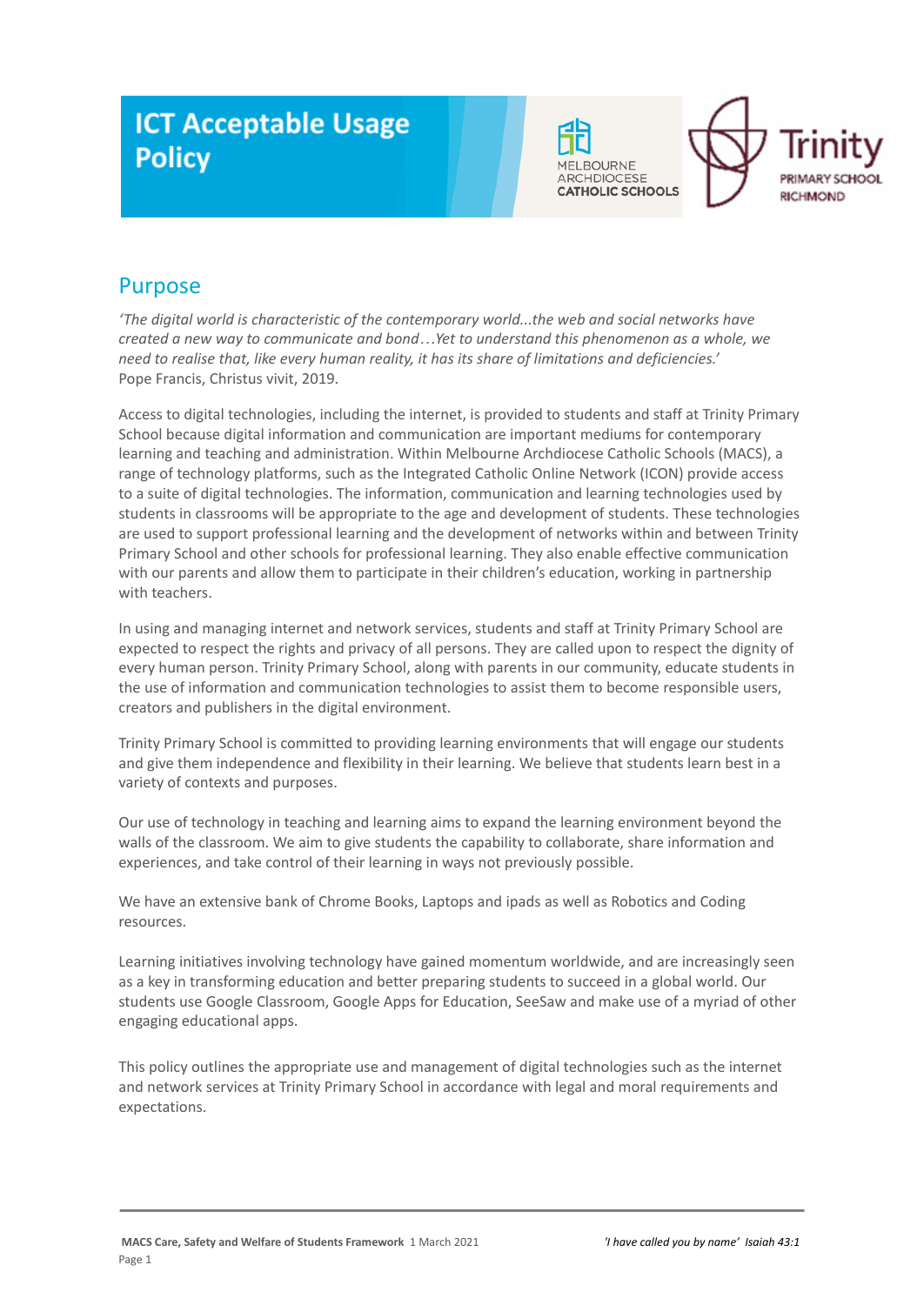# **ICT Acceptable Usage Policy**





# Purpose

*'The digital world is characteristic of the contemporary world...the web and social networks have created a new way to communicate and bond…Yet to understand this phenomenon as a whole, we need to realise that, like every human reality, it has its share of limitations and deficiencies.'* Pope Francis, Christus vivit, 2019.

Access to digital technologies, including the internet, is provided to students and staff at Trinity Primary School because digital information and communication are important mediums for contemporary learning and teaching and administration. Within Melbourne Archdiocese Catholic Schools (MACS), a range of technology platforms, such as the Integrated Catholic Online Network (ICON) provide access to a suite of digital technologies. The information, communication and learning technologies used by students in classrooms will be appropriate to the age and development of students. These technologies are used to support professional learning and the development of networks within and between Trinity Primary School and other schools for professional learning. They also enable effective communication with our parents and allow them to participate in their children's education, working in partnership with teachers.

In using and managing internet and network services, students and staff at Trinity Primary School are expected to respect the rights and privacy of all persons. They are called upon to respect the dignity of every human person. Trinity Primary School, along with parents in our community, educate students in the use of information and communication technologies to assist them to become responsible users, creators and publishers in the digital environment.

Trinity Primary School is committed to providing learning environments that will engage our students and give them independence and flexibility in their learning. We believe that students learn best in a variety of contexts and purposes.

Our use of technology in teaching and learning aims to expand the learning environment beyond the walls of the classroom. We aim to give students the capability to collaborate, share information and experiences, and take control of their learning in ways not previously possible.

We have an extensive bank of Chrome Books, Laptops and ipads as well as Robotics and Coding resources.

Learning initiatives involving technology have gained momentum worldwide, and are increasingly seen as a key in transforming education and better preparing students to succeed in a global world. Our students use Google Classroom, Google Apps for Education, SeeSaw and make use of a myriad of other engaging educational apps.

This policy outlines the appropriate use and management of digital technologies such as the internet and network services at Trinity Primary School in accordance with legal and moral requirements and expectations.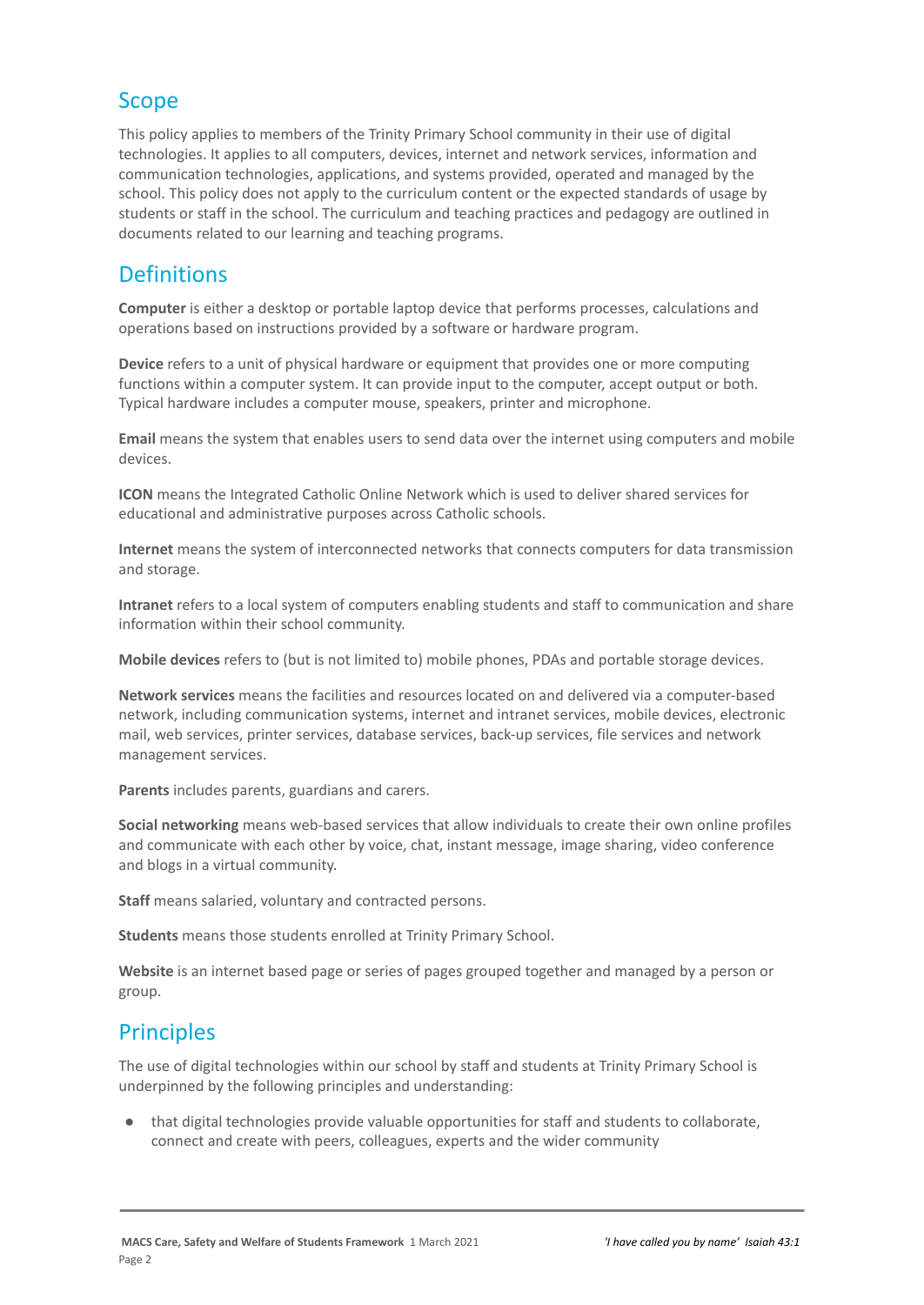# Scope

This policy applies to members of the Trinity Primary School community in their use of digital technologies. It applies to all computers, devices, internet and network services, information and communication technologies, applications, and systems provided, operated and managed by the school. This policy does not apply to the curriculum content or the expected standards of usage by students or staff in the school. The curriculum and teaching practices and pedagogy are outlined in documents related to our learning and teaching programs.

# **Definitions**

**Computer** is either a desktop or portable laptop device that performs processes, calculations and operations based on instructions provided by a software or hardware program.

**Device** refers to a unit of physical hardware or equipment that provides one or more computing functions within a computer system. It can provide input to the computer, accept output or both. Typical hardware includes a computer mouse, speakers, printer and microphone.

**Email** means the system that enables users to send data over the internet using computers and mobile devices.

**ICON** means the Integrated Catholic Online Network which is used to deliver shared services for educational and administrative purposes across Catholic schools.

**Internet** means the system of interconnected networks that connects computers for data transmission and storage.

**Intranet** refers to a local system of computers enabling students and staff to communication and share information within their school community.

**Mobile devices** refers to (but is not limited to) mobile phones, PDAs and portable storage devices.

**Network services** means the facilities and resources located on and delivered via a computer-based network, including communication systems, internet and intranet services, mobile devices, electronic mail, web services, printer services, database services, back-up services, file services and network management services.

**Parents** includes parents, guardians and carers.

**Social networking** means web-based services that allow individuals to create their own online profiles and communicate with each other by voice, chat, instant message, image sharing, video conference and blogs in a virtual community.

**Staff** means salaried, voluntary and contracted persons.

**Students** means those students enrolled at Trinity Primary School.

**Website** is an internet based page or series of pages grouped together and managed by a person or group.

# **Principles**

The use of digital technologies within our school by staff and students at Trinity Primary School is underpinned by the following principles and understanding:

● that digital technologies provide valuable opportunities for staff and students to collaborate, connect and create with peers, colleagues, experts and the wider community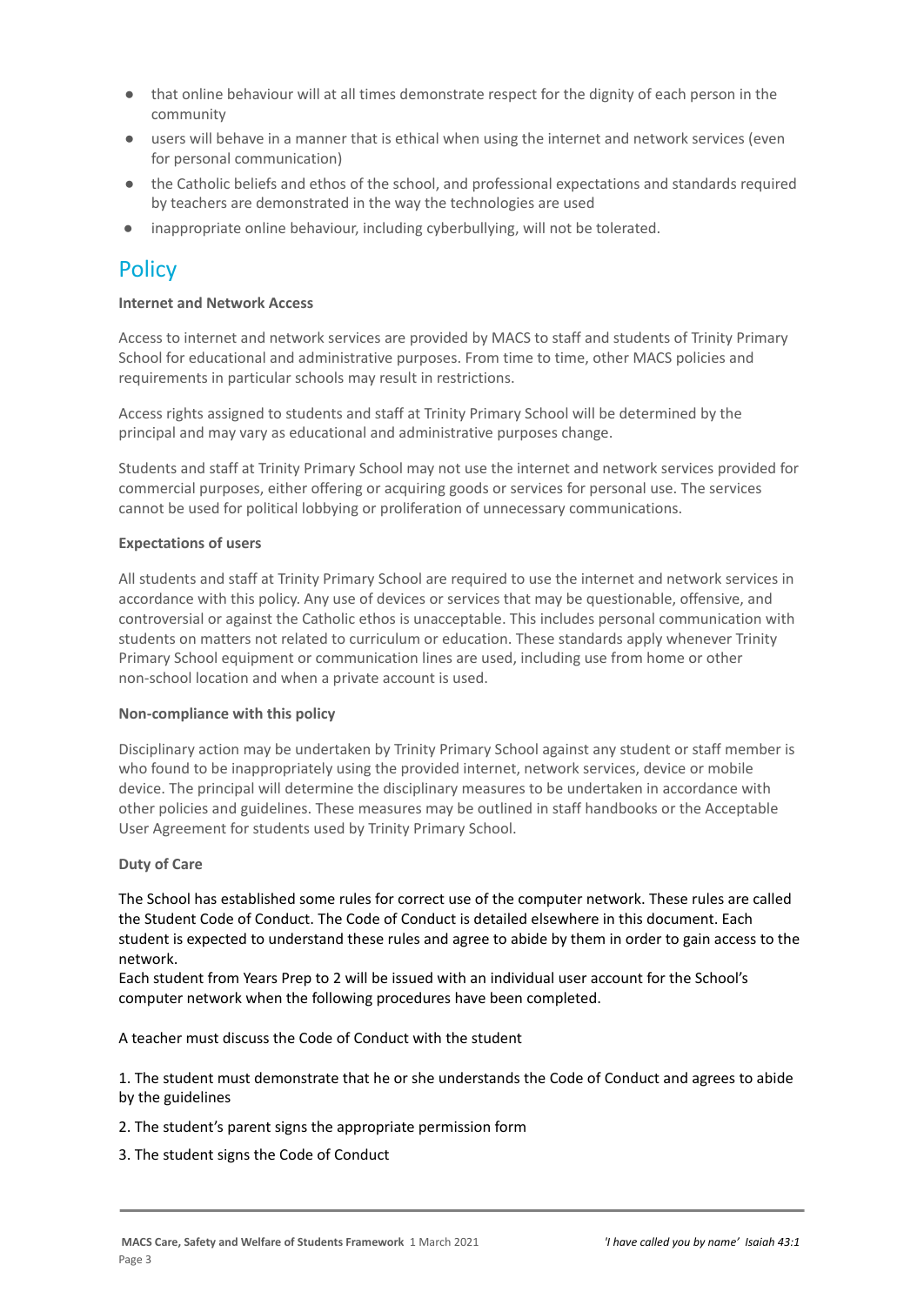- that online behaviour will at all times demonstrate respect for the dignity of each person in the community
- users will behave in a manner that is ethical when using the internet and network services (even for personal communication)
- the Catholic beliefs and ethos of the school, and professional expectations and standards required by teachers are demonstrated in the way the technologies are used
- inappropriate online behaviour, including cyberbullying, will not be tolerated.

# **Policy**

### **Internet and Network Access**

Access to internet and network services are provided by MACS to staff and students of Trinity Primary School for educational and administrative purposes. From time to time, other MACS policies and requirements in particular schools may result in restrictions.

Access rights assigned to students and staff at Trinity Primary School will be determined by the principal and may vary as educational and administrative purposes change.

Students and staff at Trinity Primary School may not use the internet and network services provided for commercial purposes, either offering or acquiring goods or services for personal use. The services cannot be used for political lobbying or proliferation of unnecessary communications.

## **Expectations of users**

All students and staff at Trinity Primary School are required to use the internet and network services in accordance with this policy. Any use of devices or services that may be questionable, offensive, and controversial or against the Catholic ethos is unacceptable. This includes personal communication with students on matters not related to curriculum or education. These standards apply whenever Trinity Primary School equipment or communication lines are used, including use from home or other non-school location and when a private account is used.

### **Non-compliance with this policy**

Disciplinary action may be undertaken by Trinity Primary School against any student or staff member is who found to be inappropriately using the provided internet, network services, device or mobile device. The principal will determine the disciplinary measures to be undertaken in accordance with other policies and guidelines. These measures may be outlined in staff handbooks or the Acceptable User Agreement for students used by Trinity Primary School.

### **Duty of Care**

The School has established some rules for correct use of the computer network. These rules are called the Student Code of Conduct. The Code of Conduct is detailed elsewhere in this document. Each student is expected to understand these rules and agree to abide by them in order to gain access to the network.

Each student from Years Prep to 2 will be issued with an individual user account for the School's computer network when the following procedures have been completed.

A teacher must discuss the Code of Conduct with the student

1. The student must demonstrate that he or she understands the Code of Conduct and agrees to abide by the guidelines

- 2. The student's parent signs the appropriate permission form
- 3. The student signs the Code of Conduct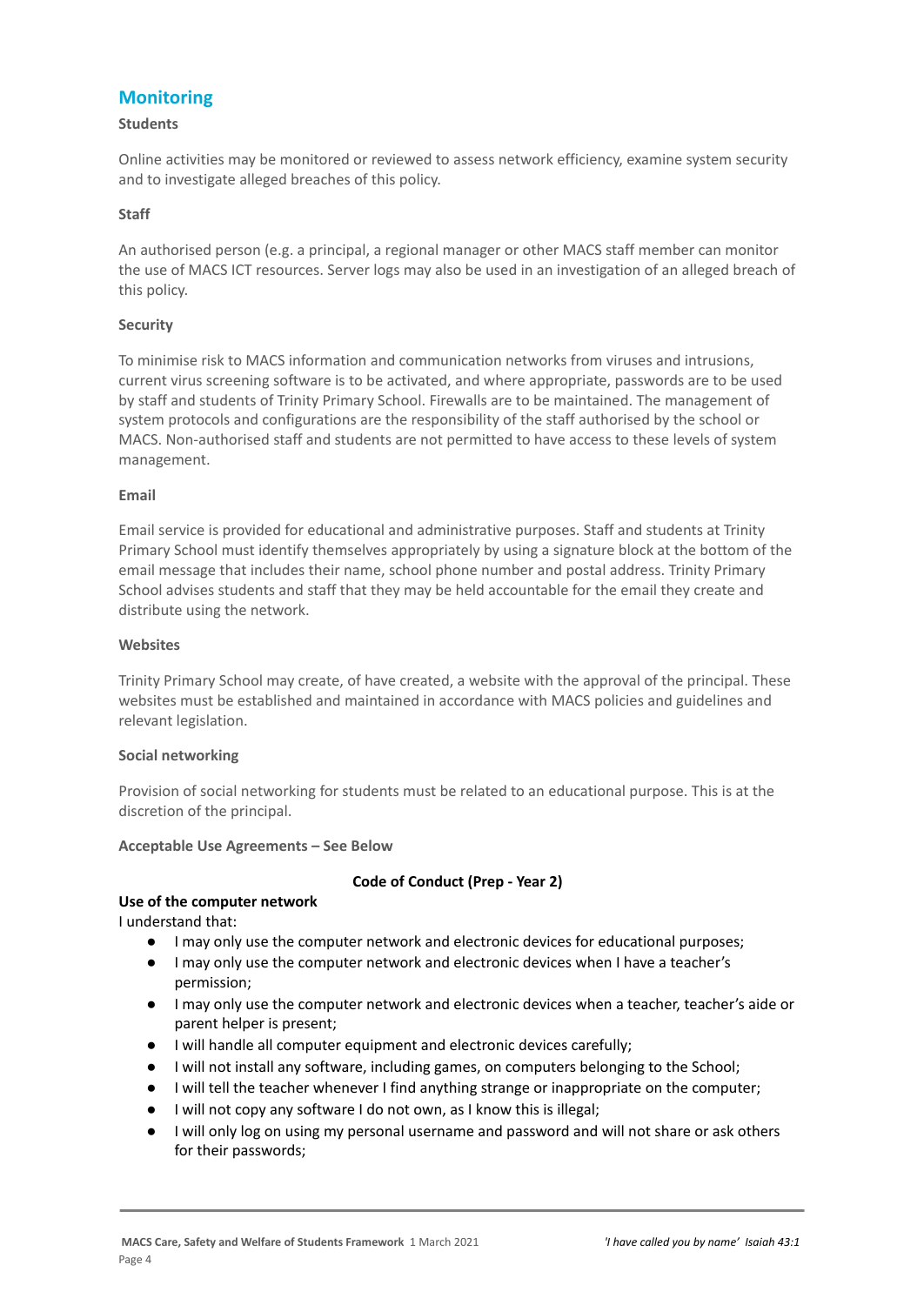# **Monitoring**

#### **Students**

Online activities may be monitored or reviewed to assess network efficiency, examine system security and to investigate alleged breaches of this policy.

#### **Staff**

An authorised person (e.g. a principal, a regional manager or other MACS staff member can monitor the use of MACS ICT resources. Server logs may also be used in an investigation of an alleged breach of this policy.

#### **Security**

To minimise risk to MACS information and communication networks from viruses and intrusions, current virus screening software is to be activated, and where appropriate, passwords are to be used by staff and students of Trinity Primary School. Firewalls are to be maintained. The management of system protocols and configurations are the responsibility of the staff authorised by the school or MACS. Non-authorised staff and students are not permitted to have access to these levels of system management.

#### **Email**

Email service is provided for educational and administrative purposes. Staff and students at Trinity Primary School must identify themselves appropriately by using a signature block at the bottom of the email message that includes their name, school phone number and postal address. Trinity Primary School advises students and staff that they may be held accountable for the email they create and distribute using the network.

#### **Websites**

Trinity Primary School may create, of have created, a website with the approval of the principal. These websites must be established and maintained in accordance with MACS policies and guidelines and relevant legislation.

#### **Social networking**

Provision of social networking for students must be related to an educational purpose. This is at the discretion of the principal.

#### **Acceptable Use Agreements – See Below**

# **Use of the computer network**

# **Code of Conduct (Prep - Year 2)**

I understand that:

- I may only use the computer network and electronic devices for educational purposes;
- I may only use the computer network and electronic devices when I have a teacher's permission;
- I may only use the computer network and electronic devices when a teacher, teacher's aide or parent helper is present;
- I will handle all computer equipment and electronic devices carefully;
- I will not install any software, including games, on computers belonging to the School;
- I will tell the teacher whenever I find anything strange or inappropriate on the computer;
- I will not copy any software I do not own, as I know this is illegal;
- I will only log on using my personal username and password and will not share or ask others for their passwords;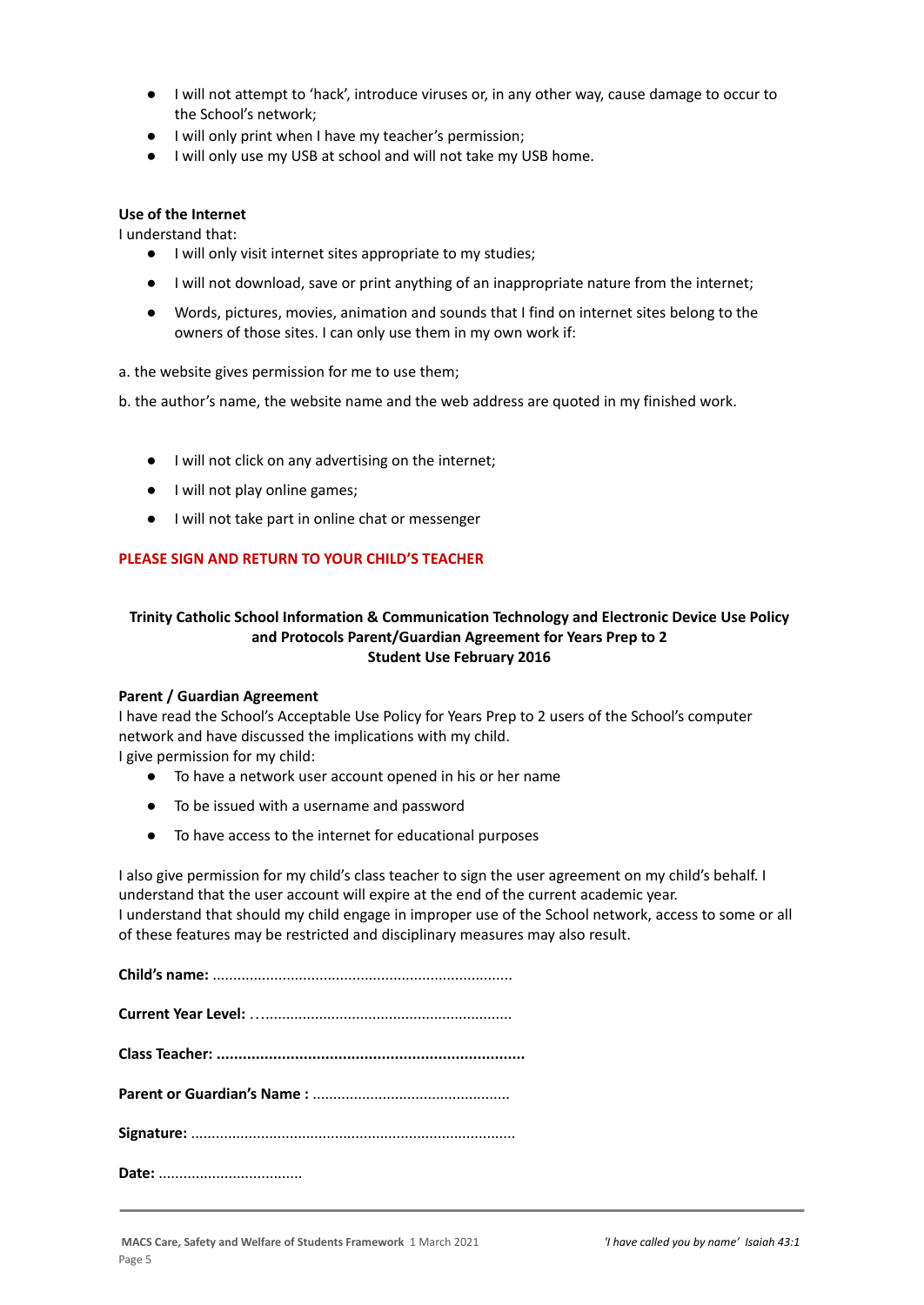- I will not attempt to 'hack', introduce viruses or, in any other way, cause damage to occur to the School's network;
- I will only print when I have my teacher's permission;
- I will only use my USB at school and will not take my USB home.

#### **Use of the Internet**

I understand that:

- I will only visit internet sites appropriate to my studies;
- I will not download, save or print anything of an inappropriate nature from the internet;
- Words, pictures, movies, animation and sounds that I find on internet sites belong to the owners of those sites. I can only use them in my own work if:
- a. the website gives permission for me to use them;

b. the author's name, the website name and the web address are quoted in my finished work.

- I will not click on any advertising on the internet;
- I will not play online games;
- I will not take part in online chat or messenger

## **PLEASE SIGN AND RETURN TO YOUR CHILD'S TEACHER**

## **Trinity Catholic School Information & Communication Technology and Electronic Device Use Policy and Protocols Parent/Guardian Agreement for Years Prep to 2 Student Use February 2016**

#### **Parent / Guardian Agreement**

I have read the School's Acceptable Use Policy for Years Prep to 2 users of the School's computer network and have discussed the implications with my child.

I give permission for my child:

- To have a network user account opened in his or her name
- To be issued with a username and password
- To have access to the internet for educational purposes

I also give permission for my child's class teacher to sign the user agreement on my child's behalf. I understand that the user account will expire at the end of the current academic year. I understand that should my child engage in improper use of the School network, access to some or all of these features may be restricted and disciplinary measures may also result.

**Date:** ...................................